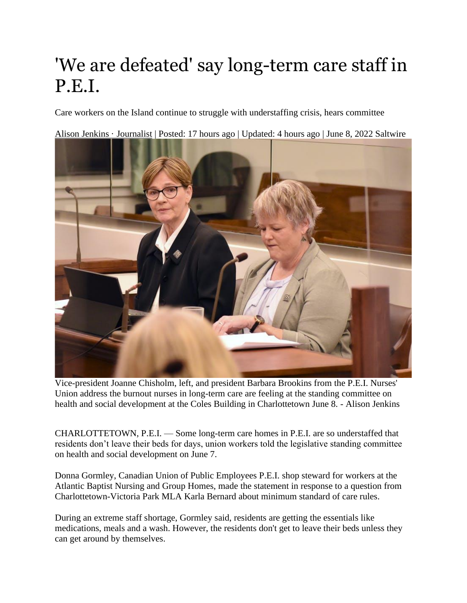## 'We are defeated' say long-term care staff in P.E.I.

Care workers on the Island continue to struggle with understaffing crisis, hears committee

[Alison Jenkins · Journalist](https://www.saltwire.com/author/alison-jenkins-100049568/) | Posted: 17 hours ago | Updated: 4 hours ago | June 8, 2022 Saltwire



Vice-president Joanne Chisholm, left, and president Barbara Brookins from the P.E.I. Nurses' Union address the burnout nurses in long-term care are feeling at the standing committee on health and social development at the Coles Building in Charlottetown June 8. - Alison Jenkins

CHARLOTTETOWN, P.E.I. — Some long-term care homes in P.E.I. are so understaffed that residents don't leave their beds for days, union workers told the legislative standing committee on health and social development on June 7.

Donna Gormley, Canadian Union of Public Employees P.E.I. shop steward for workers at the Atlantic Baptist Nursing and Group Homes, made the statement in response to a question from Charlottetown-Victoria Park MLA Karla Bernard about minimum standard of care rules.

During an extreme staff shortage, Gormley said, residents are getting the essentials like medications, meals and a wash. However, the residents don't get to leave their beds unless they can get around by themselves.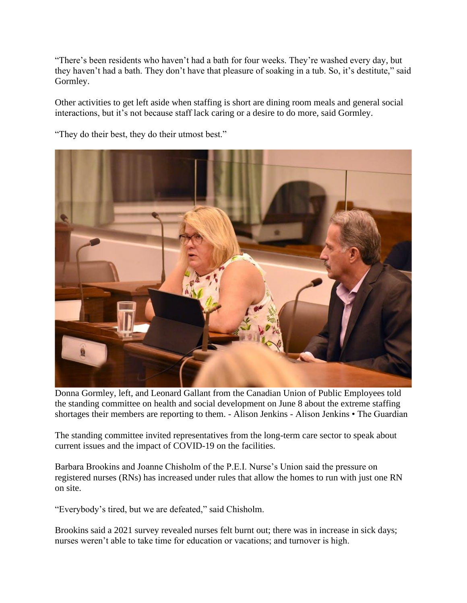"There's been residents who haven't had a bath for four weeks. They're washed every day, but they haven't had a bath. They don't have that pleasure of soaking in a tub. So, it's destitute," said Gormley.

Other activities to get left aside when staffing is short are dining room meals and general social interactions, but it's not because staff lack caring or a desire to do more, said Gormley.

"They do their best, they do their utmost best."



Donna Gormley, left, and Leonard Gallant from the Canadian Union of Public Employees told the standing committee on health and social development on June 8 about the extreme staffing shortages their members are reporting to them. - Alison Jenkins - Alison Jenkins • The Guardian

The standing committee invited representatives from the long-term care sector to speak about current issues and the impact of COVID-19 on the facilities.

Barbara Brookins and Joanne Chisholm of the P.E.I. Nurse's Union said the pressure on registered nurses (RNs) has increased under rules that allow the homes to run with just one RN on site.

"Everybody's tired, but we are defeated," said Chisholm.

Brookins said a 2021 survey revealed nurses felt burnt out; there was in increase in sick days; nurses weren't able to take time for education or vacations; and turnover is high.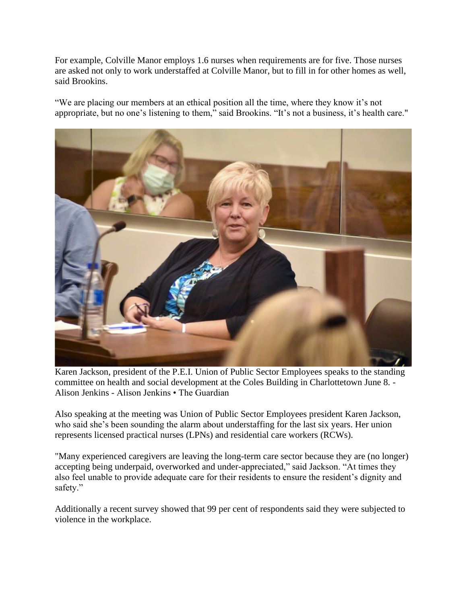For example, Colville Manor employs 1.6 nurses when requirements are for five. Those nurses are asked not only to work understaffed at Colville Manor, but to fill in for other homes as well, said Brookins.

"We are placing our members at an ethical position all the time, where they know it's not appropriate, but no one's listening to them," said Brookins. "It's not a business, it's health care."



Karen Jackson, president of the P.E.I. Union of Public Sector Employees speaks to the standing committee on health and social development at the Coles Building in Charlottetown June 8. - Alison Jenkins - Alison Jenkins • The Guardian

Also speaking at the meeting was Union of Public Sector Employees president Karen Jackson, who said she's been sounding the alarm about understaffing for the last six years. Her union represents licensed practical nurses (LPNs) and residential care workers (RCWs).

"Many experienced caregivers are leaving the long-term care sector because they are (no longer) accepting being underpaid, overworked and under-appreciated," said Jackson. "At times they also feel unable to provide adequate care for their residents to ensure the resident's dignity and safety."

Additionally a recent survey showed that 99 per cent of respondents said they were subjected to violence in the workplace.